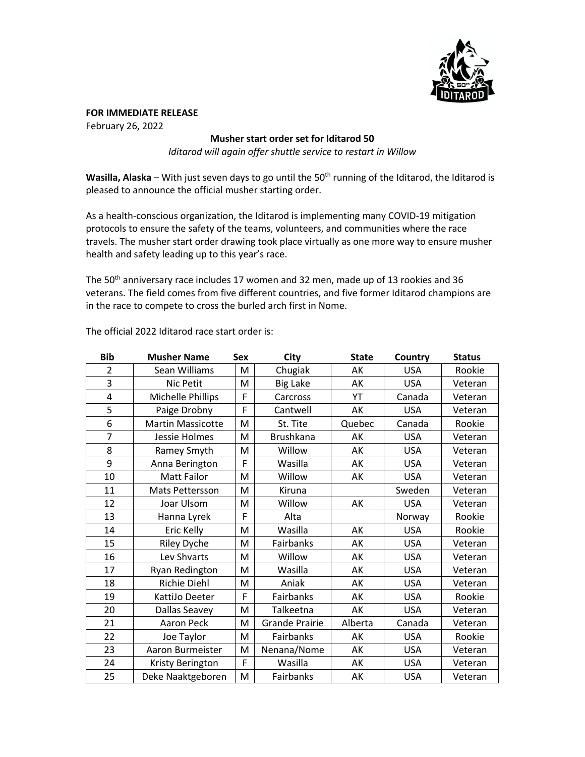

**FOR IMMEDIATE RELEASE** February 26, 2022

## **Musher start order set for Iditarod 50**

*Iditarod will again offer shuttle service to restart in Willow*

Wasilla, Alaska – With just seven days to go until the 50<sup>th</sup> running of the Iditarod, the Iditarod is pleased to announce the official musher starting order.

As a health-conscious organization, the Iditarod is implementing many COVID-19 mitigation protocols to ensure the safety of the teams, volunteers, and communities where the race travels. The musher start order drawing took place virtually as one more way to ensure musher health and safety leading up to this year's race.

The 50<sup>th</sup> anniversary race includes 17 women and 32 men, made up of 13 rookies and 36 veterans. The field comes from five different countries, and five former Iditarod champions are in the race to compete to cross the burled arch first in Nome.

| <b>Bib</b>     | <b>Musher Name</b>       | <b>Sex</b> | <b>City</b>           | <b>State</b> | Country    | <b>Status</b> |
|----------------|--------------------------|------------|-----------------------|--------------|------------|---------------|
| $\overline{2}$ | Sean Williams            | M          | Chugiak               | АΚ           | <b>USA</b> | Rookie        |
| 3              | Nic Petit                | M          | <b>Big Lake</b>       | AK           | <b>USA</b> | Veteran       |
| 4              | Michelle Phillips        | F          | Carcross              | YT           | Canada     | Veteran       |
| 5              | Paige Drobny             | F          | Cantwell              | AK           | <b>USA</b> | Veteran       |
| 6              | <b>Martin Massicotte</b> | M          | St. Tite              | Quebec       | Canada     | Rookie        |
| $\overline{7}$ | Jessie Holmes            | M          | <b>Brushkana</b>      | АK           | <b>USA</b> | Veteran       |
| 8              | Ramey Smyth              | M          | Willow                | AK           | <b>USA</b> | Veteran       |
| 9              | Anna Berington           | F          | Wasilla               | AK           | <b>USA</b> | Veteran       |
| 10             | <b>Matt Failor</b>       | M          | Willow                | AK           | <b>USA</b> | Veteran       |
| 11             | Mats Pettersson          | M          | Kiruna                |              | Sweden     | Veteran       |
| 12             | Joar Ulsom               | M          | Willow                | AK           | <b>USA</b> | Veteran       |
| 13             | Hanna Lyrek              | F          | Alta                  |              | Norway     | Rookie        |
| 14             | Eric Kelly               | M          | Wasilla               | AK           | <b>USA</b> | Rookie        |
| 15             | Riley Dyche              | M          | Fairbanks             | АK           | <b>USA</b> | Veteran       |
| 16             | Lev Shvarts              | M          | Willow                | AK           | <b>USA</b> | Veteran       |
| 17             | Ryan Redington           | M          | Wasilla               | AK           | <b>USA</b> | Veteran       |
| 18             | Richie Diehl             | M          | Aniak                 | AK           | <b>USA</b> | Veteran       |
| 19             | KattiJo Deeter           | F          | Fairbanks             | AK           | <b>USA</b> | Rookie        |
| 20             | Dallas Seavey            | M          | Talkeetna             | AK           | <b>USA</b> | Veteran       |
| 21             | Aaron Peck               | M          | <b>Grande Prairie</b> | Alberta      | Canada     | Veteran       |
| 22             | Joe Taylor               | M          | Fairbanks             | AK           | <b>USA</b> | Rookie        |
| 23             | Aaron Burmeister         | M          | Nenana/Nome           | AK           | <b>USA</b> | Veteran       |
| 24             | Kristy Berington         | F          | Wasilla               | AK           | <b>USA</b> | Veteran       |
| 25             | Deke Naaktgeboren        | M          | Fairbanks             | AK           | <b>USA</b> | Veteran       |

The official 2022 Iditarod race start order is: